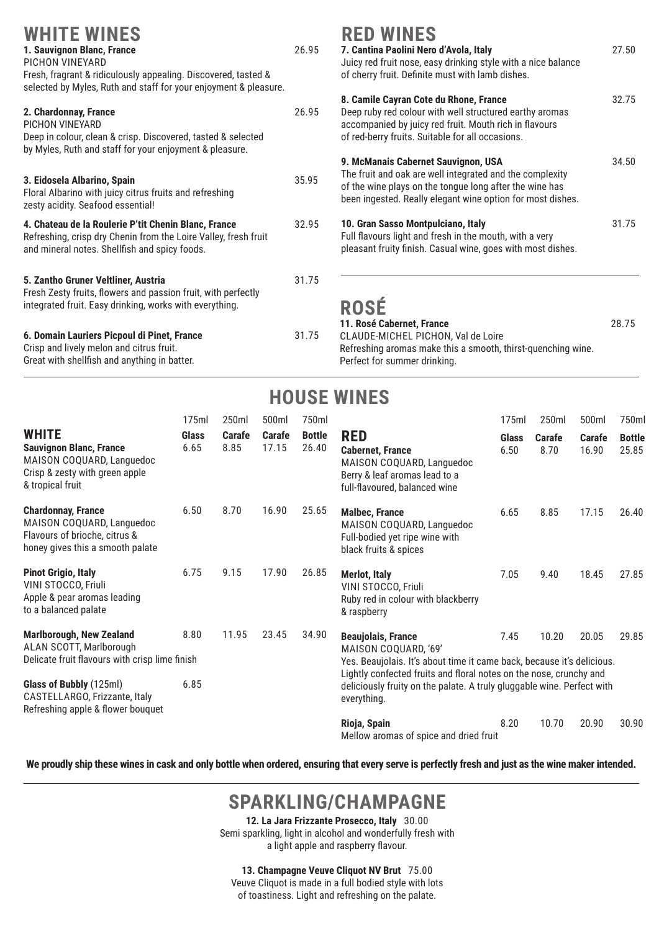| <b>WHITE WINES</b><br>1. Sauvignon Blanc, France<br>PICHON VINEYARD<br>Fresh, fragrant & ridiculously appealing. Discovered, tasted &<br>selected by Myles, Ruth and staff for your enjoyment & pleasure. | 26.95 | <b>RED</b><br>7. Canti<br>Juicy re<br>of cherr |
|-----------------------------------------------------------------------------------------------------------------------------------------------------------------------------------------------------------|-------|------------------------------------------------|
| 2. Chardonnay, France<br>PICHON VINEYARD<br>Deep in colour, clean & crisp. Discovered, tasted & selected<br>by Myles, Ruth and staff for your enjoyment & pleasure.                                       | 26.95 | 8. Cami<br>Deep rul<br>accomp<br>of red-b      |
| 3. Eidosela Albarino, Spain<br>Floral Albarino with juicy citrus fruits and refreshing<br>zesty acidity. Seafood essential!                                                                               | 35.95 | 9. McMa<br>The frui<br>of the w<br>been ind    |
| 4. Chateau de la Roulerie P'tit Chenin Blanc, France<br>Refreshing, crisp dry Chenin from the Loire Valley, fresh fruit<br>and mineral notes. Shellfish and spicy foods.                                  | 32.95 | 10. Gran<br>Full flav<br>pleasan               |
| 5. Zantho Gruner Veltliner, Austria<br>Fresh Zesty fruits, flowers and passion fruit, with perfectly<br>integrated fruit. Easy drinking, works with everything.                                           | 31.75 | ROS<br>11. Rose                                |
| 6. Domain Lauriers Picpoul di Pinet, France<br>Crisp and lively melon and citrus fruit.                                                                                                                   | 31.75 | CLAUDE<br>Refreshi                             |

Great with shellfish and anything in batter.

#### **WINFS**

| 7. Cantina Paolini Nero d'Avola, Italy<br>Juicy red fruit nose, easy drinking style with a nice balance<br>of cherry fruit. Definite must with lamb dishes.                                                              | 27.50 |
|--------------------------------------------------------------------------------------------------------------------------------------------------------------------------------------------------------------------------|-------|
| 8. Camile Cayran Cote du Rhone, France<br>Deep ruby red colour with well structured earthy aromas<br>accompanied by juicy red fruit. Mouth rich in flavours<br>of red-berry fruits. Suitable for all occasions.          | 32.75 |
| 9. McManais Cabernet Sauvignon, USA<br>The fruit and oak are well integrated and the complexity<br>of the wine plays on the tongue long after the wine has<br>been ingested. Really elegant wine option for most dishes. | 34.50 |
| 10. Gran Sasso Montpulciano, Italy<br>Full flavours light and fresh in the mouth, with a very<br>pleasant fruity finish. Casual wine, goes with most dishes.                                                             | 31.75 |
|                                                                                                                                                                                                                          |       |

# **ROSÉ**

**11. Rosé Cabernet, France** 28.75 E-MICHEL PICHON, Val de Loire ing aromas make this a smooth, thirst-quenching wine. Perfect for summer drinking.

## **HOUSE WINES**

|                                                                                                                                   | 175ml                | 250ml                 | 500ml           | 750ml                  |                                                                                                                                                                                                                    | 175ml         | 250ml          | 500ml           | 750ml                  |
|-----------------------------------------------------------------------------------------------------------------------------------|----------------------|-----------------------|-----------------|------------------------|--------------------------------------------------------------------------------------------------------------------------------------------------------------------------------------------------------------------|---------------|----------------|-----------------|------------------------|
| <b>WHITE</b><br><b>Sauvignon Blanc, France</b><br>MAISON COQUARD, Languedoc<br>Crisp & zesty with green apple<br>& tropical fruit | <b>Glass</b><br>6.65 | <b>Carafe</b><br>8.85 | Carafe<br>17.15 | <b>Bottle</b><br>26.40 | <b>RED</b><br><b>Cabernet, France</b><br>MAISON COQUARD, Languedoc<br>Berry & leaf aromas lead to a<br>full-flavoured, balanced wine                                                                               | Glass<br>6.50 | Carafe<br>8.70 | Carafe<br>16.90 | <b>Bottle</b><br>25.85 |
| <b>Chardonnay, France</b><br>MAISON COQUARD, Languedoc<br>Flavours of brioche, citrus &<br>honey gives this a smooth palate       | 6.50                 | 8.70                  | 16.90           | 25.65                  | <b>Malbec, France</b><br>MAISON COQUARD, Languedoc<br>Full-bodied yet ripe wine with<br>black fruits & spices                                                                                                      | 6.65          | 8.85           | 17.15           | 26.40                  |
| <b>Pinot Grigio, Italy</b><br>VINI STOCCO, Friuli<br>Apple & pear aromas leading<br>to a balanced palate                          | 6.75                 | 9.15                  | 17.90           | 26.85                  | <b>Merlot, Italy</b><br>VINI STOCCO, Friuli<br>Ruby red in colour with blackberry<br>& raspberry                                                                                                                   | 7.05          | 9.40           | 18.45           | 27.85                  |
| <b>Marlborough, New Zealand</b><br>ALAN SCOTT, Marlborough<br>Delicate fruit flavours with crisp lime finish                      | 8.80                 | 11.95                 | 23.45           | 34.90                  | <b>Beaujolais, France</b><br>7.45<br>10.20<br>MAISON COQUARD, '69'<br>Yes. Beaujolais. It's about time it came back, because it's delicious.<br>Lightly confected fruits and floral notes on the nose, crunchy and |               | 20.05          | 29.85           |                        |
| Glass of Bubbly (125ml)<br>CASTELLARGO, Frizzante, Italy<br>Refreshing apple & flower bouquet                                     | 6.85                 |                       |                 |                        | deliciously fruity on the palate. A truly gluggable wine. Perfect with<br>everything.                                                                                                                              |               |                |                 |                        |
|                                                                                                                                   |                      |                       |                 |                        | Rioja, Spain<br>Mellow aromas of spice and dried fruit                                                                                                                                                             | 8.20          | 10.70          | 20.90           | 30.90                  |

**We proudly ship these wines in cask and only bottle when ordered, ensuring that every serve is perfectly fresh and just as the wine maker intended.**

# **SPARKLING/CHAMPAGNE**

**12. La Jara Frizzante Prosecco, Italy** 30.00 Semi sparkling, light in alcohol and wonderfully fresh with a light apple and raspberry flavour.

**13. Champagne Veuve Cliquot NV Brut** 75.00

Veuve Cliquot is made in a full bodied style with lots

of toastiness. Light and refreshing on the palate.